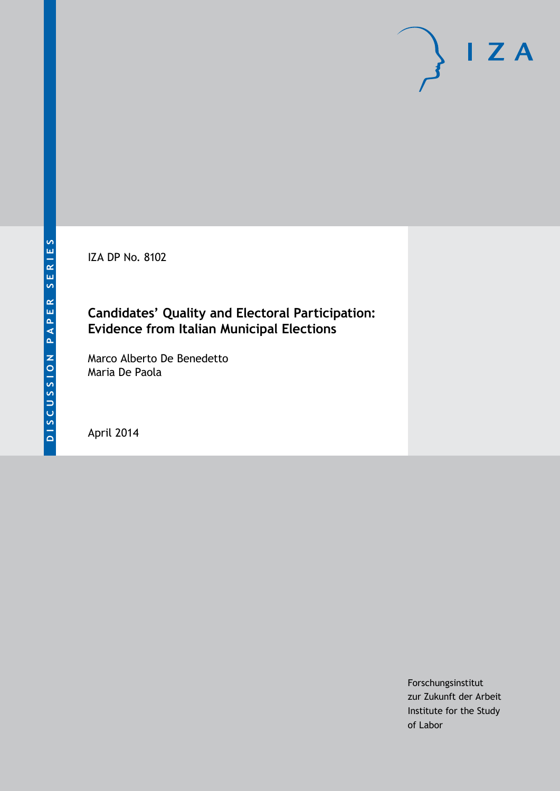IZA DP No. 8102

### **Candidates' Quality and Electoral Participation: Evidence from Italian Municipal Elections**

Marco Alberto De Benedetto Maria De Paola

April 2014

Forschungsinstitut zur Zukunft der Arbeit Institute for the Study of Labor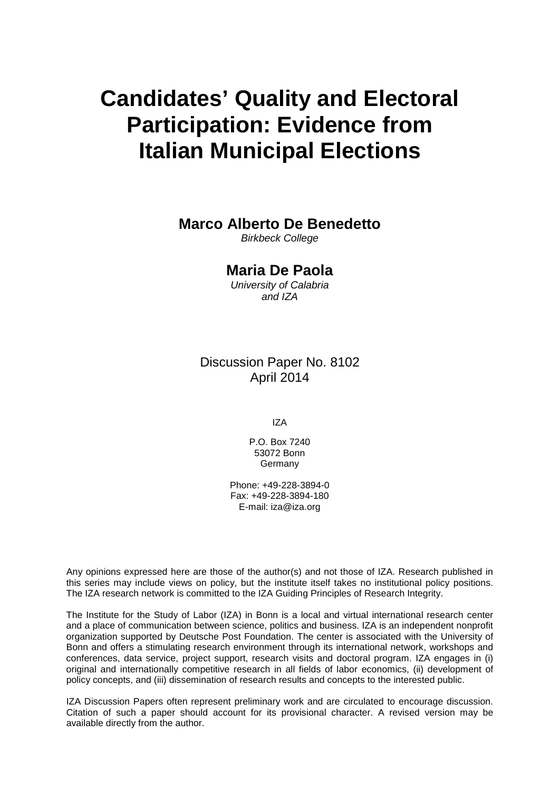# **Candidates' Quality and Electoral Participation: Evidence from Italian Municipal Elections**

### **Marco Alberto De Benedetto**

*Birkbeck College*

#### **Maria De Paola**

*University of Calabria and IZA*

Discussion Paper No. 8102 April 2014

IZA

P.O. Box 7240 53072 Bonn Germany

Phone: +49-228-3894-0 Fax: +49-228-3894-180 E-mail: [iza@iza.org](mailto:iza@iza.org)

Any opinions expressed here are those of the author(s) and not those of IZA. Research published in this series may include views on policy, but the institute itself takes no institutional policy positions. The IZA research network is committed to the IZA Guiding Principles of Research Integrity.

The Institute for the Study of Labor (IZA) in Bonn is a local and virtual international research center and a place of communication between science, politics and business. IZA is an independent nonprofit organization supported by Deutsche Post Foundation. The center is associated with the University of Bonn and offers a stimulating research environment through its international network, workshops and conferences, data service, project support, research visits and doctoral program. IZA engages in (i) original and internationally competitive research in all fields of labor economics, (ii) development of policy concepts, and (iii) dissemination of research results and concepts to the interested public.

<span id="page-1-0"></span>IZA Discussion Papers often represent preliminary work and are circulated to encourage discussion. Citation of such a paper should account for its provisional character. A revised version may be available directly from the author.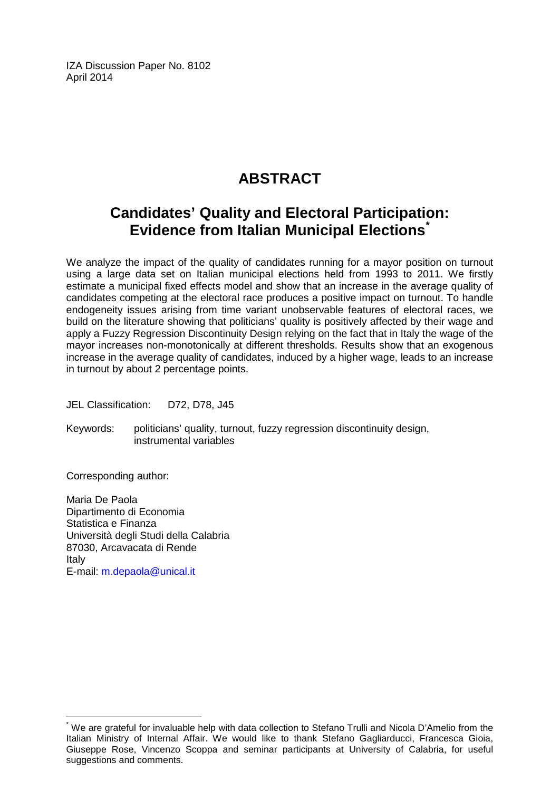IZA Discussion Paper No. 8102 April 2014

## **ABSTRACT**

## **Candidates' Quality and Electoral Participation: Evidence from Italian Municipal Elections[\\*](#page-1-0)**

We analyze the impact of the quality of candidates running for a mayor position on turnout using a large data set on Italian municipal elections held from 1993 to 2011. We firstly estimate a municipal fixed effects model and show that an increase in the average quality of candidates competing at the electoral race produces a positive impact on turnout. To handle endogeneity issues arising from time variant unobservable features of electoral races, we build on the literature showing that politicians' quality is positively affected by their wage and apply a Fuzzy Regression Discontinuity Design relying on the fact that in Italy the wage of the mayor increases non-monotonically at different thresholds. Results show that an exogenous increase in the average quality of candidates, induced by a higher wage, leads to an increase in turnout by about 2 percentage points.

JEL Classification: D72, D78, J45

Keywords: politicians' quality, turnout, fuzzy regression discontinuity design, instrumental variables

Corresponding author:

Maria De Paola Dipartimento di Economia Statistica e Finanza Università degli Studi della Calabria 87030, Arcavacata di Rende Italy E-mail: [m.depaola@unical.it](mailto:m.depaola@unical.it)

We are grateful for invaluable help with data collection to Stefano Trulli and Nicola D'Amelio from the Italian Ministry of Internal Affair. We would like to thank Stefano Gagliarducci, Francesca Gioia, Giuseppe Rose, Vincenzo Scoppa and seminar participants at University of Calabria, for useful suggestions and comments.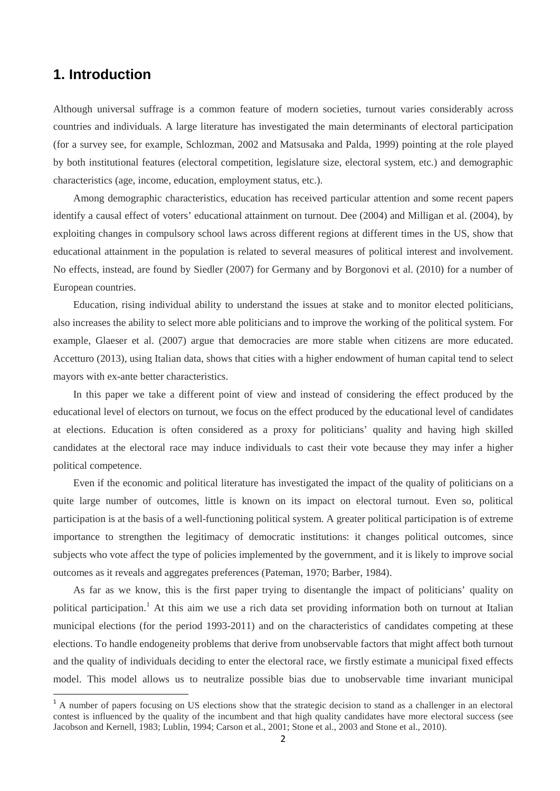#### **1. Introduction**

Although universal suffrage is a common feature of modern societies, turnout varies considerably across countries and individuals. A large literature has investigated the main determinants of electoral participation (for a survey see, for example, [Schlozman, 2002](http://onlinelibrary.wiley.com/doi/10.1111/j.0092-5853.2005.00113.x/full#b50) and Matsusaka and Palda, 1999) pointing at the role played by both institutional features (electoral competition, legislature size, electoral system, etc.) and demographic characteristics (age, income, education, employment status, etc.).

Among demographic characteristics, education has received particular attention and some recent papers identify a causal effect of voters' educational attainment on turnout. Dee (2004) and Milligan et al. (2004), by exploiting changes in compulsory school laws across different regions at different times in the US, show that educational attainment in the population is related to several measures of political interest and involvement. No effects, instead, are found by Siedler (2007) for Germany and by Borgonovi et al. (2010) for a number of European countries.

Education, rising individual ability to understand the issues at stake and to monitor elected politicians, also increases the ability to select more able politicians and to improve the working of the political system. For example, Glaeser et al. (2007) argue that democracies are more stable when citizens are more educated. Accetturo (2013), using Italian data, shows that cities with a higher endowment of human capital tend to select mayors with ex-ante better characteristics.

In this paper we take a different point of view and instead of considering the effect produced by the educational level of electors on turnout, we focus on the effect produced by the educational level of candidates at elections. Education is often considered as a proxy for politicians' quality and having high skilled candidates at the electoral race may induce individuals to cast their vote because they may infer a higher political competence.

Even if the economic and political literature has investigated the impact of the quality of politicians on a quite large number of outcomes, little is known on its impact on electoral turnout. Even so, political participation is at the basis of a well-functioning political system. A greater political participation is of extreme importance to strengthen the legitimacy of democratic institutions: it changes political outcomes, since subjects who vote affect the type of policies implemented by the government, and it is likely to improve social outcomes as it reveals and aggregates preferences (Pateman, 1970; Barber, 1984).

As far as we know, this is the first paper trying to disentangle the impact of politicians' quality on political participation.<sup>1</sup> At this aim we use a rich data set providing information both on turnout at Italian municipal elections (for the period 1993-2011) and on the characteristics of candidates competing at these elections. To handle endogeneity problems that derive from unobservable factors that might affect both turnout and the quality of individuals deciding to enter the electoral race, we firstly estimate a municipal fixed effects model. This model allows us to neutralize possible bias due to unobservable time invariant municipal

<span id="page-3-0"></span><sup>&</sup>lt;sup>1</sup> A number of papers focusing on US elections show that the strategic decision to stand as a challenger in an electoral contest is influenced by the quality of the incumbent and that high quality candidates have more electoral success (see Jacobson and Kernell, 1983; Lublin, 1994; Carson et al., 2001; Stone et al., 2003 and Stone et al., 2010).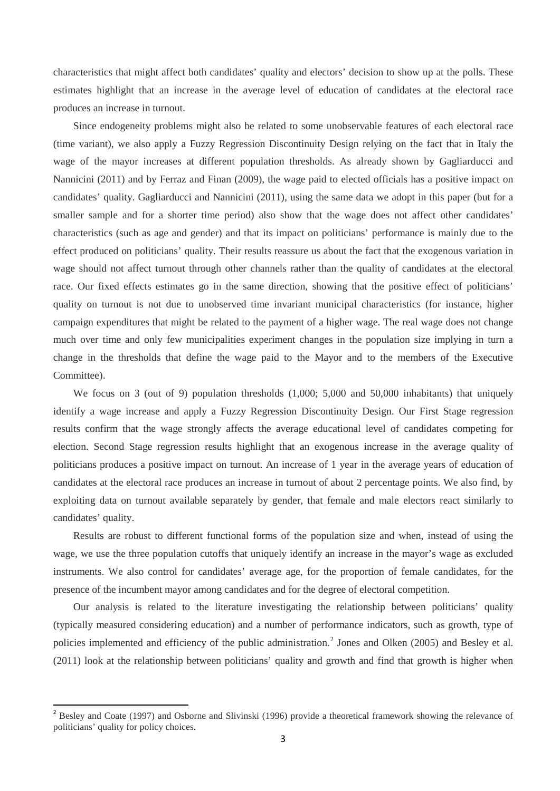characteristics that might affect both candidates' quality and electors' decision to show up at the polls. These estimates highlight that an increase in the average level of education of candidates at the electoral race produces an increase in turnout.

Since endogeneity problems might also be related to some unobservable features of each electoral race (time variant), we also apply a Fuzzy Regression Discontinuity Design relying on the fact that in Italy the wage of the mayor increases at different population thresholds. As already shown by Gagliarducci and Nannicini (2011) and by Ferraz and Finan (2009), the wage paid to elected officials has a positive impact on candidates' quality. Gagliarducci and Nannicini (2011), using the same data we adopt in this paper (but for a smaller sample and for a shorter time period) also show that the wage does not affect other candidates' characteristics (such as age and gender) and that its impact on politicians' performance is mainly due to the effect produced on politicians' quality. Their results reassure us about the fact that the exogenous variation in wage should not affect turnout through other channels rather than the quality of candidates at the electoral race. Our fixed effects estimates go in the same direction, showing that the positive effect of politicians' quality on turnout is not due to unobserved time invariant municipal characteristics (for instance, higher campaign expenditures that might be related to the payment of a higher wage. The real wage does not change much over time and only few municipalities experiment changes in the population size implying in turn a change in the thresholds that define the wage paid to the Mayor and to the members of the Executive Committee).

We focus on 3 (out of 9) population thresholds  $(1,000; 5,000)$  and 50,000 inhabitants) that uniquely identify a wage increase and apply a Fuzzy Regression Discontinuity Design. Our First Stage regression results confirm that the wage strongly affects the average educational level of candidates competing for election. Second Stage regression results highlight that an exogenous increase in the average quality of politicians produces a positive impact on turnout. An increase of 1 year in the average years of education of candidates at the electoral race produces an increase in turnout of about 2 percentage points. We also find, by exploiting data on turnout available separately by gender, that female and male electors react similarly to candidates' quality.

Results are robust to different functional forms of the population size and when, instead of using the wage, we use the three population cutoffs that uniquely identify an increase in the mayor's wage as excluded instruments. We also control for candidates' average age, for the proportion of female candidates, for the presence of the incumbent mayor among candidates and for the degree of electoral competition.

<span id="page-4-0"></span>Our analysis is related to the literature investigating the relationship between politicians' quality (typically measured considering education) and a number of performance indicators, such as growth, type of policies implemented and efficiency of the public administration.<sup>[2](#page-3-0)</sup> Jones and Olken (2005) and Besley et al. (2011) look at the relationship between politicians' quality and growth and find that growth is higher when

 <sup>2</sup> Besley and Coate (1997) and Osborne and Slivinski (1996) provide a theoretical framework showing the relevance of politicians' quality for policy choices.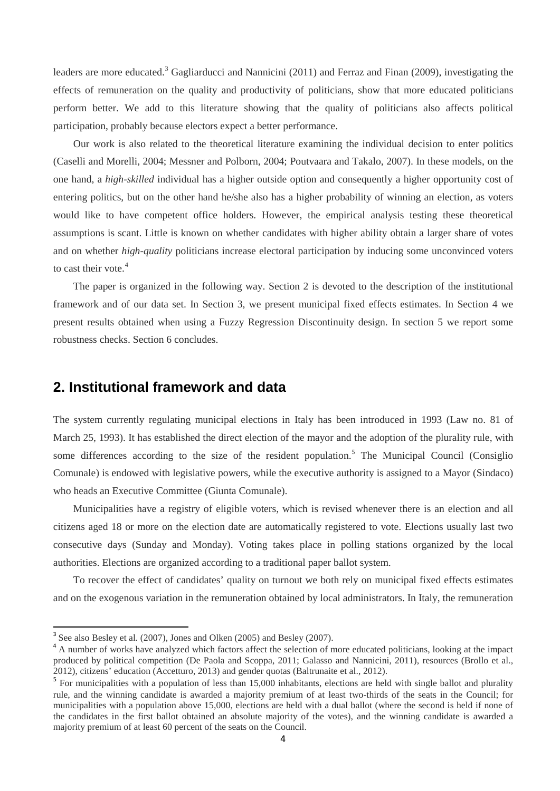leaders are more educated.<sup>[3](#page-4-0)</sup> Gagliarducci and Nannicini (2011) and Ferraz and Finan (2009), investigating the effects of remuneration on the quality and productivity of politicians, show that more educated politicians perform better. We add to this literature showing that the quality of politicians also affects political participation, probably because electors expect a better performance.

Our work is also related to the theoretical literature examining the individual decision to enter politics (Caselli and Morelli, 2004; Messner and Polborn, 2004; Poutvaara and Takalo, 2007). In these models, on the one hand, a *high-skilled* individual has a higher outside option and consequently a higher opportunity cost of entering politics, but on the other hand he/she also has a higher probability of winning an election, as voters would like to have competent office holders. However, the empirical analysis testing these theoretical assumptions is scant. Little is known on whether candidates with higher ability obtain a larger share of votes and on whether *high-quality* politicians increase electoral participation by inducing some unconvinced voters to cast their vote.<sup>[4](#page-5-0)</sup>

The paper is organized in the following way. Section 2 is devoted to the description of the institutional framework and of our data set. In Section 3, we present municipal fixed effects estimates. In Section 4 we present results obtained when using a Fuzzy Regression Discontinuity design. In section 5 we report some robustness checks. Section 6 concludes.

#### **2. Institutional framework and data**

The system currently regulating municipal elections in Italy has been introduced in 1993 (Law no. 81 of March 25, 1993). It has established the direct election of the mayor and the adoption of the plurality rule, with some differences according to the size of the resident population.<sup>[5](#page-5-1)</sup> The Municipal Council (Consiglio Comunale) is endowed with legislative powers, while the executive authority is assigned to a Mayor (Sindaco) who heads an Executive Committee (Giunta Comunale).

Municipalities have a registry of eligible voters, which is revised whenever there is an election and all citizens aged 18 or more on the election date are automatically registered to vote. Elections usually last two consecutive days (Sunday and Monday). Voting takes place in polling stations organized by the local authorities. Elections are organized according to a traditional paper ballot system.

<span id="page-5-2"></span>To recover the effect of candidates' quality on turnout we both rely on municipal fixed effects estimates and on the exogenous variation in the remuneration obtained by local administrators. In Italy, the remuneration

<span id="page-5-0"></span>

<sup>&</sup>lt;sup>3</sup> See also Besley et al. (2007), Jones and Olken (2005) and Besley (2007).<br><sup>4</sup> A number of works have analyzed which factors affect the selection of more educated politicians, looking at the impact produced by political competition (De Paola and Scoppa, 2011; Galasso and Nannicini, 2011), resources (Brollo et al., 2012), citizens' education (Accetturo, 2013) and gender quotas (Baltrunaite et al., 2012).

<span id="page-5-1"></span><sup>&</sup>lt;sup>5</sup> For municipalities with a population of less than 15,000 inhabitants, elections are held with single ballot and plurality rule, and the winning candidate is awarded a majority premium of at least two-thirds of the seats in the Council; for municipalities with a population above 15,000, elections are held with a dual ballot (where the second is held if none of the candidates in the first ballot obtained an absolute majority of the votes), and the winning candidate is awarded a majority premium of at least 60 percent of the seats on the Council.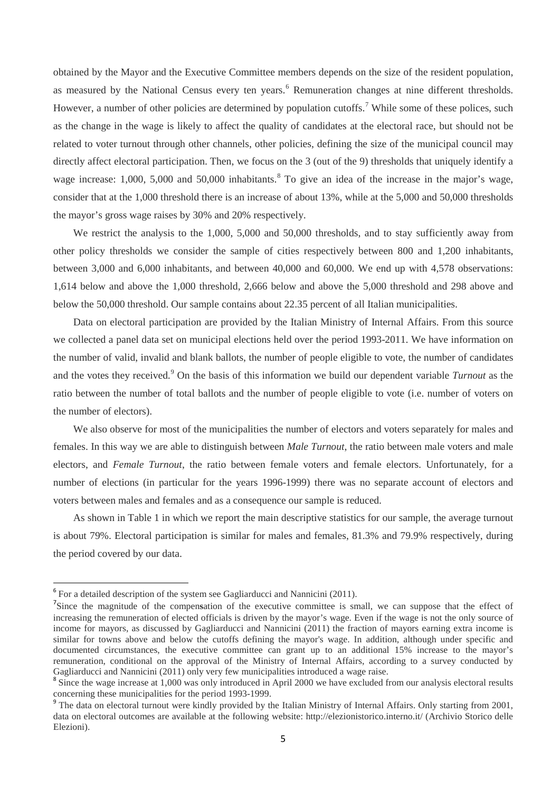obtained by the Mayor and the Executive Committee members depends on the size of the resident population, as measured by the National Census every ten years.<sup>[6](#page-5-2)</sup> Remuneration changes at nine different thresholds. However, a number of other policies are determined by population cutoffs.<sup>[7](#page-6-0)</sup> While some of these polices, such as the change in the wage is likely to affect the quality of candidates at the electoral race, but should not be related to voter turnout through other channels, other policies, defining the size of the municipal council may directly affect electoral participation. Then, we focus on the 3 (out of the 9) thresholds that uniquely identify a wage increase: 1,000, 5,000 and 50,000 inhabitants.<sup>[8](#page-6-1)</sup> To give an idea of the increase in the major's wage, consider that at the 1,000 threshold there is an increase of about 13%, while at the 5,000 and 50,000 thresholds the mayor's gross wage raises by 30% and 20% respectively.

We restrict the analysis to the 1,000, 5,000 and 50,000 thresholds, and to stay sufficiently away from other policy thresholds we consider the sample of cities respectively between 800 and 1,200 inhabitants, between 3,000 and 6,000 inhabitants, and between 40,000 and 60,000. We end up with 4,578 observations: 1,614 below and above the 1,000 threshold, 2,666 below and above the 5,000 threshold and 298 above and below the 50,000 threshold. Our sample contains about 22.35 percent of all Italian municipalities.

Data on electoral participation are provided by the Italian Ministry of Internal Affairs. From this source we collected a panel data set on municipal elections held over the period 1993-2011. We have information on the number of valid, invalid and blank ballots, the number of people eligible to vote, the number of candidates and the votes they received.<sup>[9](#page-6-2)</sup> On the basis of this information we build our dependent variable *Turnout* as the ratio between the number of total ballots and the number of people eligible to vote (i.e. number of voters on the number of electors).

We also observe for most of the municipalities the number of electors and voters separately for males and females. In this way we are able to distinguish between *Male Turnout*, the ratio between male voters and male electors, and *Female Turnout*, the ratio between female voters and female electors. Unfortunately, for a number of elections (in particular for the years 1996-1999) there was no separate account of electors and voters between males and females and as a consequence our sample is reduced.

As shown in Table 1 in which we report the main descriptive statistics for our sample, the average turnout is about 79%. Electoral participation is similar for males and females, 81.3% and 79.9% respectively, during the period covered by our data.

<sup>&</sup>lt;sup>6</sup> For a detailed description of the system see Gagliarducci and Nannicini (2011).

<span id="page-6-0"></span><sup>&</sup>lt;sup>7</sup>Since the magnitude of the compensation of the executive committee is small, we can suppose that the effect of increasing the remuneration of elected officials is driven by the mayor's wage. Even if the wage is not the only source of income for mayors, as discussed by Gagliarducci and Nannicini (2011) the fraction of mayors earning extra income is similar for towns above and below the cutoffs defining the mayor's wage. In addition, although under specific and documented circumstances, the executive committee can grant up to an additional 15% increase to the mayor's remuneration, conditional on the approval of the Ministry of Internal Affairs, according to a survey conducted by

<span id="page-6-3"></span><span id="page-6-1"></span>Gagliarducci and Nannicini (2011) only very few municipalities introduced a wage raise.<br><sup>8</sup> Since the wage increase at 1,000 was only introduced in April 2000 we have excluded from our analysis electoral results concerning

<span id="page-6-2"></span><sup>&</sup>lt;sup>9</sup> The data on electoral turnout were kindly provided by the Italian Ministry of Internal Affairs. Only starting from 2001, data on electoral outcomes are available at the following website:<http://elezionistorico.interno.it/> (Archivio Storico delle Elezioni).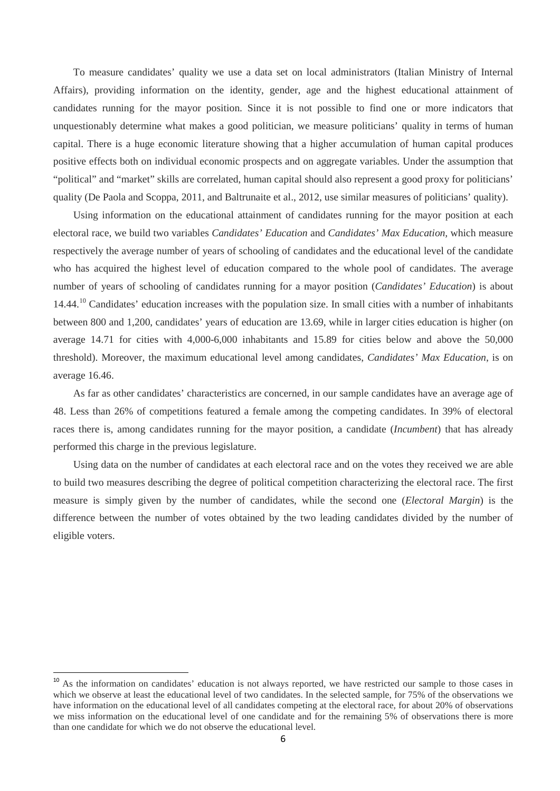To measure candidates' quality we use a data set on local administrators (Italian Ministry of Internal Affairs), providing information on the identity, gender, age and the highest educational attainment of candidates running for the mayor position. Since it is not possible to find one or more indicators that unquestionably determine what makes a good politician, we measure politicians' quality in terms of human capital. There is a huge economic literature showing that a higher accumulation of human capital produces positive effects both on individual economic prospects and on aggregate variables. Under the assumption that "political" and "market" skills are correlated, human capital should also represent a good proxy for politicians' quality (De Paola and Scoppa, 2011, and Baltrunaite et al., 2012, use similar measures of politicians' quality).

Using information on the educational attainment of candidates running for the mayor position at each electoral race, we build two variables *Candidates' Education* and *Candidates' Max Education,* which measure respectively the average number of years of schooling of candidates and the educational level of the candidate who has acquired the highest level of education compared to the whole pool of candidates. The average number of years of schooling of candidates running for a mayor position (*Candidates' Education*) is about 14.44.<sup>[10](#page-6-3)</sup> Candidates' education increases with the population size. In small cities with a number of inhabitants between 800 and 1,200, candidates' years of education are 13.69, while in larger cities education is higher (on average 14.71 for cities with 4,000-6,000 inhabitants and 15.89 for cities below and above the 50,000 threshold). Moreover, the maximum educational level among candidates, *Candidates' Max Education*, is on average 16.46.

As far as other candidates' characteristics are concerned, in our sample candidates have an average age of 48. Less than 26% of competitions featured a female among the competing candidates. In 39% of electoral races there is, among candidates running for the mayor position, a candidate (*Incumbent*) that has already performed this charge in the previous legislature.

Using data on the number of candidates at each electoral race and on the votes they received we are able to build two measures describing the degree of political competition characterizing the electoral race. The first measure is simply given by the number of candidates, while the second one (*Electoral Margin*) is the difference between the number of votes obtained by the two leading candidates divided by the number of eligible voters.

<span id="page-7-0"></span><sup>&</sup>lt;sup>10</sup> As the information on candidates' education is not always reported, we have restricted our sample to those cases in which we observe at least the educational level of two candidates. In the selected sample, for 75% of the observations we have information on the educational level of all candidates competing at the electoral race, for about 20% of observations we miss information on the educational level of one candidate and for the remaining 5% of observations there is more than one candidate for which we do not observe the educational level.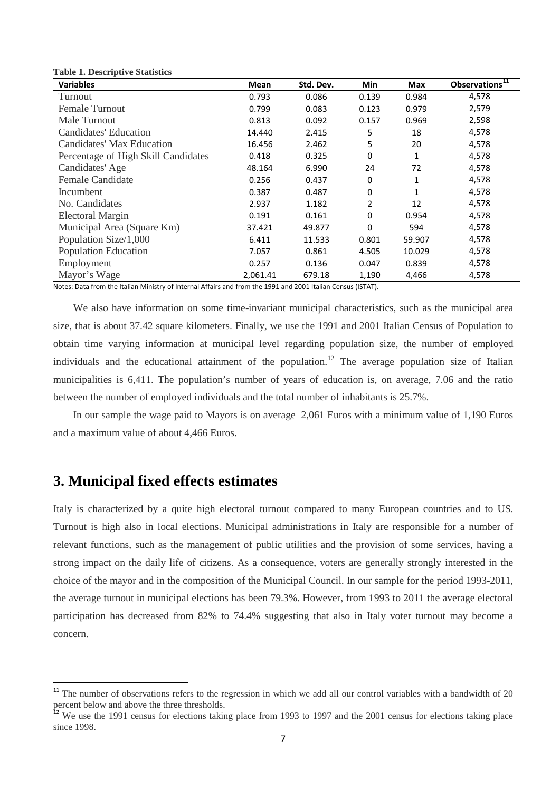| Table 1. Descriptive Statistics     |          |           |                |        |                   |
|-------------------------------------|----------|-----------|----------------|--------|-------------------|
| <b>Variables</b>                    | Mean     | Std. Dev. | Min            | Max    | Observations $11$ |
| Turnout                             | 0.793    | 0.086     | 0.139          | 0.984  | 4,578             |
| <b>Female Turnout</b>               | 0.799    | 0.083     | 0.123          | 0.979  | 2,579             |
| Male Turnout                        | 0.813    | 0.092     | 0.157          | 0.969  | 2,598             |
| Candidates' Education               | 14.440   | 2.415     | 5              | 18     | 4,578             |
| Candidates' Max Education           | 16.456   | 2.462     | 5              | 20     | 4,578             |
| Percentage of High Skill Candidates | 0.418    | 0.325     | 0              | 1      | 4,578             |
| Candidates' Age                     | 48.164   | 6.990     | 24             | 72     | 4,578             |
| <b>Female Candidate</b>             | 0.256    | 0.437     | 0              | 1      | 4,578             |
| Incumbent                           | 0.387    | 0.487     | 0              | 1      | 4,578             |
| No. Candidates                      | 2.937    | 1.182     | $\overline{2}$ | 12     | 4,578             |
| <b>Electoral Margin</b>             | 0.191    | 0.161     | 0              | 0.954  | 4,578             |
| Municipal Area (Square Km)          | 37.421   | 49.877    | 0              | 594    | 4,578             |
| Population Size/1,000               | 6.411    | 11.533    | 0.801          | 59.907 | 4,578             |
| <b>Population Education</b>         | 7.057    | 0.861     | 4.505          | 10.029 | 4,578             |
| Employment                          | 0.257    | 0.136     | 0.047          | 0.839  | 4,578             |
| Mayor's Wage                        | 2,061.41 | 679.18    | 1,190          | 4,466  | 4,578             |

Notes: Data from the Italian Ministry of Internal Affairs and from the 1991 and 2001 Italian Census (ISTAT).

We also have information on some time-invariant municipal characteristics, such as the municipal area size, that is about 37.42 square kilometers. Finally, we use the 1991 and 2001 Italian Census of Population to obtain time varying information at municipal level regarding population size, the number of employed individuals and the educational attainment of the population.<sup>[12](#page-8-0)</sup> The average population size of Italian municipalities is 6,411. The population's number of years of education is, on average, 7.06 and the ratio between the number of employed individuals and the total number of inhabitants is 25.7%.

In our sample the wage paid to Mayors is on average 2,061 Euros with a minimum value of 1,190 Euros and a maximum value of about 4,466 Euros.

#### **3. Municipal fixed effects estimates**

**Table 1. Descriptive Statistics**

Italy is characterized by a quite high electoral turnout compared to many European countries and to US. Turnout is high also in local elections. Municipal administrations in Italy are responsible for a number of relevant functions, such as the management of public utilities and the provision of some services, having a strong impact on the daily life of citizens. As a consequence, voters are generally strongly interested in the choice of the mayor and in the composition of the Municipal Council. In our sample for the period 1993-2011, the average turnout in municipal elections has been 79.3%. However, from 1993 to 2011 the average electoral participation has decreased from 82% to 74.4% suggesting that also in Italy voter turnout may become a concern.

 $11$  The number of observations refers to the regression in which we add all our control variables with a bandwidth of 20 percent below and above the three thresholds.

<span id="page-8-1"></span><span id="page-8-0"></span> $12$  We use the 1991 census for elections taking place from 1993 to 1997 and the 2001 census for elections taking place since 1998.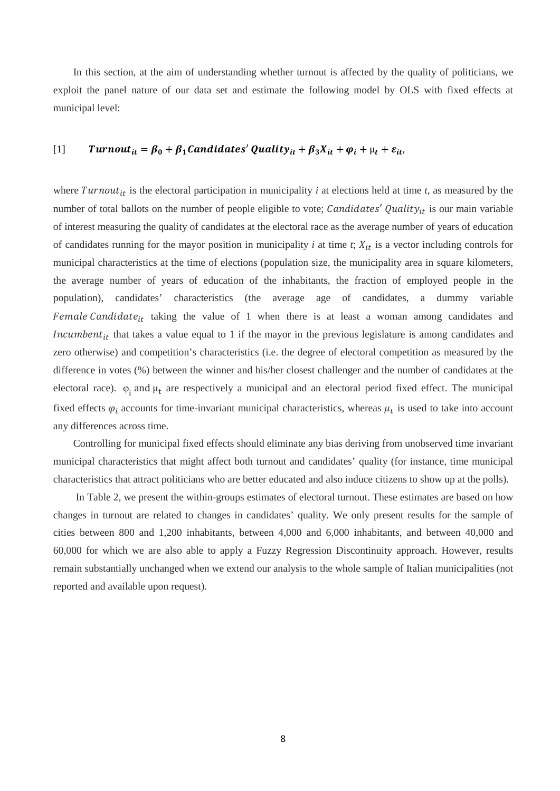In this section, at the aim of understanding whether turnout is affected by the quality of politicians, we exploit the panel nature of our data set and estimate the following model by OLS with fixed effects at municipal level:

#### [1] Turnout<sub>it</sub> =  $\beta_0 + \beta_1$ Candidates' Quality<sub>it</sub> +  $\beta_3 X_{it} + \varphi_i + \mu_t + \varepsilon_{it}$ ,

where  $Turnout_{it}$  is the electoral participation in municipality *i* at elections held at time *t*, as measured by the number of total ballots on the number of people eligible to vote; Candidates' Quality<sub>it</sub> is our main variable of interest measuring the quality of candidates at the electoral race as the average number of years of education of candidates running for the mayor position in municipality  $i$  at time  $t$ ;  $X_{it}$  is a vector including controls for municipal characteristics at the time of elections (population size, the municipality area in square kilometers, the average number of years of education of the inhabitants, the fraction of employed people in the population), candidates' characteristics (the average age of candidates, a dummy variable Female Candidate<sub>it</sub> taking the value of 1 when there is at least a woman among candidates and Incumbent<sub>it</sub> that takes a value equal to 1 if the mayor in the previous legislature is among candidates and zero otherwise) and competition's characteristics (i.e. the degree of electoral competition as measured by the difference in votes (%) between the winner and his/her closest challenger and the number of candidates at the electoral race).  $\varphi_i$  and  $\mu_t$  are respectively a municipal and an electoral period fixed effect. The municipal fixed effects  $\varphi_i$  accounts for time-invariant municipal characteristics, whereas  $\mu_t$  is used to take into account any differences across time.

Controlling for municipal fixed effects should eliminate any bias deriving from unobserved time invariant municipal characteristics that might affect both turnout and candidates' quality (for instance, time municipal characteristics that attract politicians who are better educated and also induce citizens to show up at the polls).

In Table 2, we present the within-groups estimates of electoral turnout. These estimates are based on how changes in turnout are related to changes in candidates' quality. We only present results for the sample of cities between 800 and 1,200 inhabitants, between 4,000 and 6,000 inhabitants, and between 40,000 and 60,000 for which we are also able to apply a Fuzzy Regression Discontinuity approach. However, results remain substantially unchanged when we extend our analysis to the whole sample of Italian municipalities (not reported and available upon request).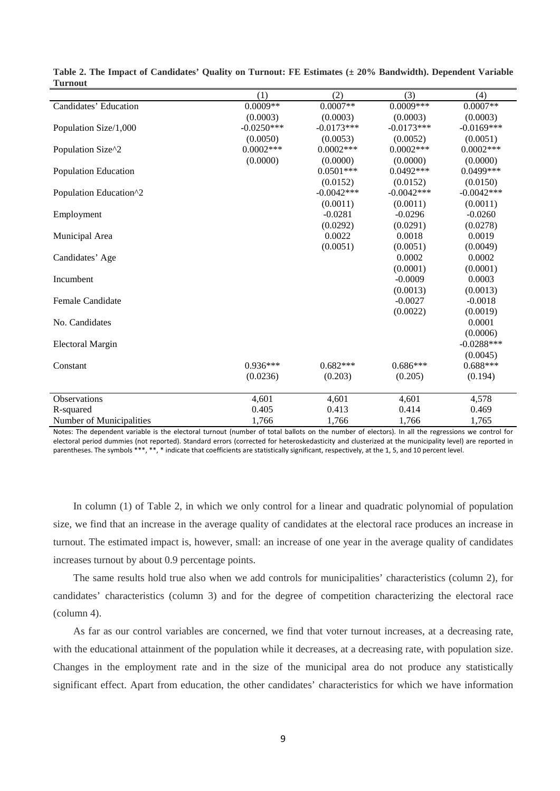| 1 ui nout                   |              |              |              |              |
|-----------------------------|--------------|--------------|--------------|--------------|
|                             | (1)          | (2)          | (3)          | (4)          |
| Candidates' Education       | $0.0009**$   | $0.0007**$   | $0.0009***$  | $0.0007**$   |
|                             | (0.0003)     | (0.0003)     | (0.0003)     | (0.0003)     |
| Population Size/1,000       | $-0.0250***$ | $-0.0173***$ | $-0.0173***$ | $-0.0169***$ |
|                             | (0.0050)     | (0.0053)     | (0.0052)     | (0.0051)     |
| Population Size^2           | $0.0002***$  | $0.0002$ *** | $0.0002$ *** | $0.0002***$  |
|                             | (0.0000)     | (0.0000)     | (0.0000)     | (0.0000)     |
| <b>Population Education</b> |              | $0.0501***$  | $0.0492***$  | 0.0499***    |
|                             |              | (0.0152)     | (0.0152)     | (0.0150)     |
| Population Education^2      |              | $-0.0042***$ | $-0.0042***$ | $-0.0042***$ |
|                             |              | (0.0011)     | (0.0011)     | (0.0011)     |
| Employment                  |              | $-0.0281$    | $-0.0296$    | $-0.0260$    |
|                             |              | (0.0292)     | (0.0291)     | (0.0278)     |
| Municipal Area              |              | 0.0022       | 0.0018       | 0.0019       |
|                             |              | (0.0051)     | (0.0051)     | (0.0049)     |
| Candidates' Age             |              |              | 0.0002       | 0.0002       |
|                             |              |              | (0.0001)     | (0.0001)     |
| Incumbent                   |              |              | $-0.0009$    | 0.0003       |
|                             |              |              | (0.0013)     | (0.0013)     |
| <b>Female Candidate</b>     |              |              | $-0.0027$    | $-0.0018$    |
|                             |              |              | (0.0022)     | (0.0019)     |
| No. Candidates              |              |              |              | 0.0001       |
|                             |              |              |              | (0.0006)     |
| <b>Electoral Margin</b>     |              |              |              | $-0.0288***$ |
|                             |              |              |              | (0.0045)     |
| Constant                    | $0.936***$   | $0.682***$   | $0.686***$   | $0.688***$   |
|                             | (0.0236)     | (0.203)      | (0.205)      | (0.194)      |
|                             |              |              |              |              |
| <b>Observations</b>         | 4,601        | 4,601        | 4,601        | 4,578        |
| R-squared                   | 0.405        | 0.413        | 0.414        | 0.469        |
| Number of Municipalities    | 1,766        | 1,766        | 1,766        | 1,765        |

**Table 2. The Impact of Candidates' Quality on Turnout: FE Estimates (± 20% Bandwidth). Dependent Variable Turnout**

Notes: The dependent variable is the electoral turnout (number of total ballots on the number of electors). In all the regressions we control for electoral period dummies (not reported). Standard errors (corrected for heteroskedasticity and clusterized at the municipality level) are reported in parentheses. The symbols \*\*\*, \*\*, \* indicate that coefficients are statistically significant, respectively, at the 1, 5, and 10 percent level.

In column (1) of Table 2, in which we only control for a linear and quadratic polynomial of population size, we find that an increase in the average quality of candidates at the electoral race produces an increase in turnout. The estimated impact is, however, small: an increase of one year in the average quality of candidates increases turnout by about 0.9 percentage points.

The same results hold true also when we add controls for municipalities' characteristics (column 2), for candidates' characteristics (column 3) and for the degree of competition characterizing the electoral race (column 4).

As far as our control variables are concerned, we find that voter turnout increases, at a decreasing rate, with the educational attainment of the population while it decreases, at a decreasing rate, with population size. Changes in the employment rate and in the size of the municipal area do not produce any statistically significant effect. Apart from education, the other candidates' characteristics for which we have information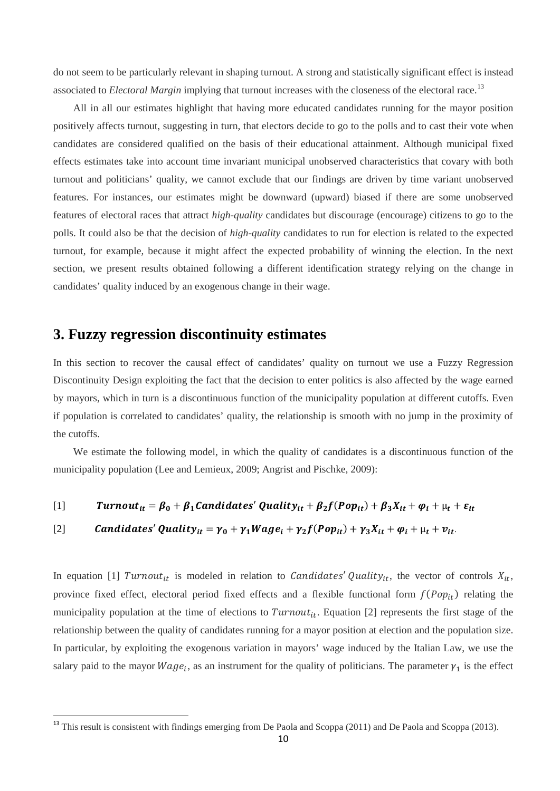do not seem to be particularly relevant in shaping turnout. A strong and statistically significant effect is instead associated to *Electoral Margin* implying that turnout increases with the closeness of the electoral race.<sup>[13](#page-8-1)</sup>

All in all our estimates highlight that having more educated candidates running for the mayor position positively affects turnout, suggesting in turn, that electors decide to go to the polls and to cast their vote when candidates are considered qualified on the basis of their educational attainment. Although municipal fixed effects estimates take into account time invariant municipal unobserved characteristics that covary with both turnout and politicians' quality, we cannot exclude that our findings are driven by time variant unobserved features. For instances, our estimates might be downward (upward) biased if there are some unobserved features of electoral races that attract *high-quality* candidates but discourage (encourage) citizens to go to the polls. It could also be that the decision of *high-quality* candidates to run for election is related to the expected turnout, for example, because it might affect the expected probability of winning the election. In the next section, we present results obtained following a different identification strategy relying on the change in candidates' quality induced by an exogenous change in their wage.

### **3. Fuzzy regression discontinuity estimates**

In this section to recover the causal effect of candidates' quality on turnout we use a Fuzzy Regression Discontinuity Design exploiting the fact that the decision to enter politics is also affected by the wage earned by mayors, which in turn is a discontinuous function of the municipality population at different cutoffs. Even if population is correlated to candidates' quality, the relationship is smooth with no jump in the proximity of the cutoffs.

We estimate the following model, in which the quality of candidates is a discontinuous function of the municipality population (Lee and Lemieux, 2009; Angrist and Pischke, 2009):

[1] 
$$
Turnout_{it} = \beta_0 + \beta_1 candidates' Quality_{it} + \beta_2 f (Pop_{it}) + \beta_3 X_{it} + \varphi_i + \mu_t + \varepsilon_{it}
$$

[2] *Candidates' Quality<sub>it</sub>* = 
$$
\gamma_0 + \gamma_1 Wage_i + \gamma_2 f (Pop_{it}) + \gamma_3 X_{it} + \varphi_i + \mu_t + \nu_{it}
$$

In equation [1] Turnout<sub>it</sub> is modeled in relation to *Candidates' Quality<sub>it</sub>*, the vector of controls  $X_{it}$ , province fixed effect, electoral period fixed effects and a flexible functional form  $f(Pop_{it})$  relating the municipality population at the time of elections to  $Turnout_{it}$ . Equation [2] represents the first stage of the relationship between the quality of candidates running for a mayor position at election and the population size. In particular, by exploiting the exogenous variation in mayors' wage induced by the Italian Law, we use the salary paid to the mayor  $Wage_i$ , as an instrument for the quality of politicians. The parameter  $\gamma_1$  is the effect

<span id="page-11-0"></span><sup>&</sup>lt;sup>13</sup> This result is consistent with findings emerging from De Paola and Scoppa (2011) and De Paola and Scoppa (2013).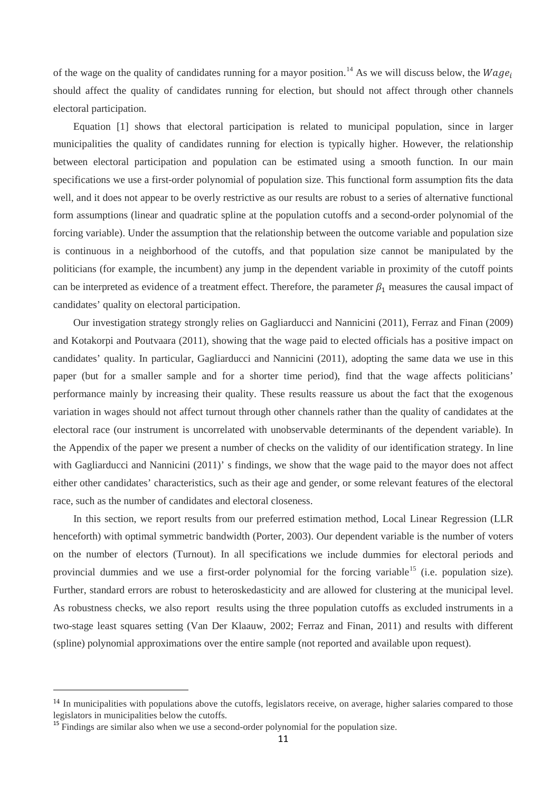of the wage on the quality of candidates running for a mayor position.<sup>[14](#page-11-0)</sup> As we will discuss below, the Wage<sub>i</sub> should affect the quality of candidates running for election, but should not affect through other channels electoral participation.

Equation [1] shows that electoral participation is related to municipal population, since in larger municipalities the quality of candidates running for election is typically higher. However, the relationship between electoral participation and population can be estimated using a smooth function. In our main specifications we use a first-order polynomial of population size. This functional form assumption fits the data well, and it does not appear to be overly restrictive as our results are robust to a series of alternative functional form assumptions (linear and quadratic spline at the population cutoffs and a second-order polynomial of the forcing variable). Under the assumption that the relationship between the outcome variable and population size is continuous in a neighborhood of the cutoffs, and that population size cannot be manipulated by the politicians (for example, the incumbent) any jump in the dependent variable in proximity of the cutoff points can be interpreted as evidence of a treatment effect. Therefore, the parameter  $\beta_1$  measures the causal impact of candidates' quality on electoral participation.

Our investigation strategy strongly relies on Gagliarducci and Nannicini (2011), Ferraz and Finan (2009) and Kotakorpi and Poutvaara (2011), showing that the wage paid to elected officials has a positive impact on candidates' quality. In particular, Gagliarducci and Nannicini (2011), adopting the same data we use in this paper (but for a smaller sample and for a shorter time period), find that the wage affects politicians' performance mainly by increasing their quality. These results reassure us about the fact that the exogenous variation in wages should not affect turnout through other channels rather than the quality of candidates at the electoral race (our instrument is uncorrelated with unobservable determinants of the dependent variable). In the Appendix of the paper we present a number of checks on the validity of our identification strategy. In line with Gagliarducci and Nannicini (2011)' s findings, we show that the wage paid to the mayor does not affect either other candidates' characteristics, such as their age and gender, or some relevant features of the electoral race, such as the number of candidates and electoral closeness.

In this section, we report results from our preferred estimation method, Local Linear Regression (LLR henceforth) with optimal symmetric bandwidth (Porter, 2003). Our dependent variable is the number of voters on the number of electors (Turnout). In all specifications we include dummies for electoral periods and provincial dummies and we use a first-order polynomial for the forcing variable<sup>[15](#page-12-0)</sup> (i.e. population size). Further, standard errors are robust to heteroskedasticity and are allowed for clustering at the municipal level. As robustness checks, we also report results using the three population cutoffs as excluded instruments in a two-stage least squares setting (Van Der Klaauw, 2002; Ferraz and Finan, 2011) and results with different (spline) polynomial approximations over the entire sample (not reported and available upon request).

 $\overline{a}$ 

<span id="page-12-1"></span><sup>&</sup>lt;sup>14</sup> In municipalities with populations above the cutoffs, legislators receive, on average, higher salaries compared to those legislators in municipalities below the cutoffs.

<span id="page-12-0"></span><sup>&</sup>lt;sup>15</sup> Findings are similar also when we use a second-order polynomial for the population size.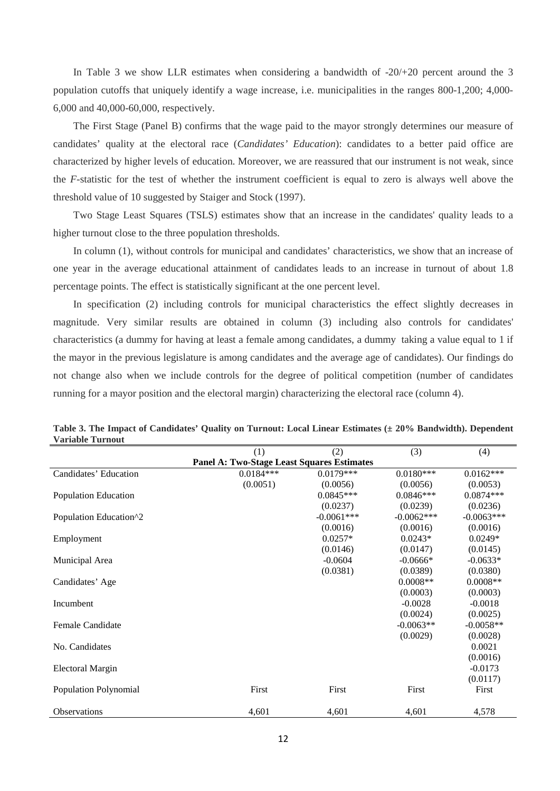In Table 3 we show LLR estimates when considering a bandwidth of -20/+20 percent around the 3 population cutoffs that uniquely identify a wage increase, i.e. municipalities in the ranges 800-1,200; 4,000- 6,000 and 40,000-60,000, respectively.

The First Stage (Panel B) confirms that the wage paid to the mayor strongly determines our measure of candidates' quality at the electoral race (*Candidates' Education*): candidates to a better paid office are characterized by higher levels of education. Moreover, we are reassured that our instrument is not weak, since the *F-*statistic for the test of whether the instrument coefficient is equal to zero is always well above the threshold value of 10 suggested by Staiger and Stock (1997).

Two Stage Least Squares (TSLS) estimates show that an increase in the candidates' quality leads to a higher turnout close to the three population thresholds.

In column (1), without controls for municipal and candidates' characteristics, we show that an increase of one year in the average educational attainment of candidates leads to an increase in turnout of about 1.8 percentage points. The effect is statistically significant at the one percent level.

In specification (2) including controls for municipal characteristics the effect slightly decreases in magnitude. Very similar results are obtained in column (3) including also controls for candidates' characteristics (a dummy for having at least a female among candidates, a dummy taking a value equal to 1 if the mayor in the previous legislature is among candidates and the average age of candidates). Our findings do not change also when we include controls for the degree of political competition (number of candidates running for a mayor position and the electoral margin) characterizing the electoral race (column 4).

|                              | (1)                                               | (2)          | (3)          | (4)          |
|------------------------------|---------------------------------------------------|--------------|--------------|--------------|
|                              | <b>Panel A: Two-Stage Least Squares Estimates</b> |              |              |              |
| Candidates' Education        | $0.0184***$                                       | $0.0179***$  | $0.0180***$  | $0.0162***$  |
|                              | (0.0051)                                          | (0.0056)     | (0.0056)     | (0.0053)     |
| <b>Population Education</b>  |                                                   | $0.0845***$  | $0.0846***$  | $0.0874***$  |
|                              |                                                   | (0.0237)     | (0.0239)     | (0.0236)     |
| Population Education^2       |                                                   | $-0.0061***$ | $-0.0062***$ | $-0.0063***$ |
|                              |                                                   | (0.0016)     | (0.0016)     | (0.0016)     |
| Employment                   |                                                   | $0.0257*$    | $0.0243*$    | $0.0249*$    |
|                              |                                                   | (0.0146)     | (0.0147)     | (0.0145)     |
| Municipal Area               |                                                   | $-0.0604$    | $-0.0666*$   | $-0.0633*$   |
|                              |                                                   | (0.0381)     | (0.0389)     | (0.0380)     |
| Candidates' Age              |                                                   |              | $0.0008**$   | $0.0008**$   |
|                              |                                                   |              | (0.0003)     | (0.0003)     |
| Incumbent                    |                                                   |              | $-0.0028$    | $-0.0018$    |
|                              |                                                   |              | (0.0024)     | (0.0025)     |
| <b>Female Candidate</b>      |                                                   |              | $-0.0063**$  | $-0.0058**$  |
|                              |                                                   |              | (0.0029)     | (0.0028)     |
| No. Candidates               |                                                   |              |              | 0.0021       |
|                              |                                                   |              |              | (0.0016)     |
| <b>Electoral Margin</b>      |                                                   |              |              | $-0.0173$    |
|                              |                                                   |              |              | (0.0117)     |
| <b>Population Polynomial</b> | First                                             | First        | First        | First        |
|                              |                                                   |              |              |              |
| Observations                 | 4,601                                             | 4,601        | 4,601        | 4,578        |

**Table 3. The Impact of Candidates' Quality on Turnout: Local Linear Estimates (± 20% Bandwidth). Dependent Variable Turnout**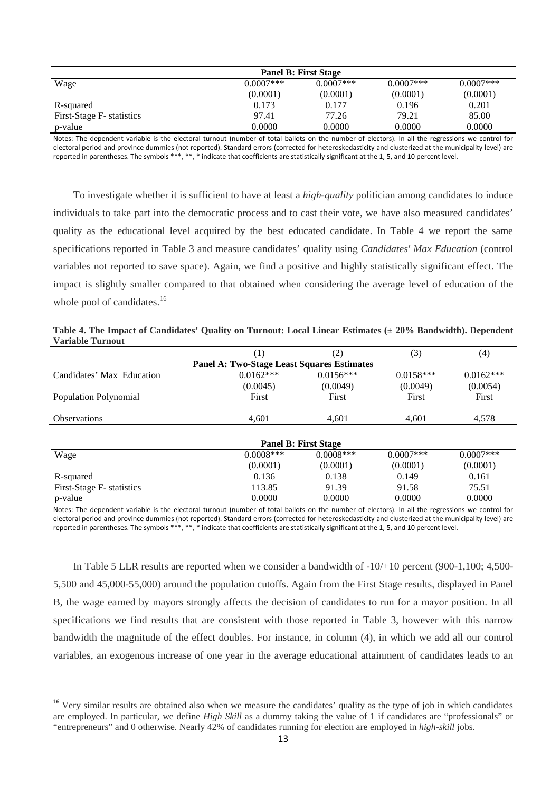| <b>Panel B: First Stage</b> |              |              |              |             |
|-----------------------------|--------------|--------------|--------------|-------------|
| Wage                        | $0.0007$ *** | $0.0007$ *** | $0.0007$ *** | $0.0007***$ |
|                             | (0.0001)     | (0.0001)     | (0.0001)     | (0.0001)    |
| R-squared                   | 0.173        | 0.177        | 0.196        | 0.201       |
| First-Stage F- statistics   | 97.41        | 77.26        | 79.21        | 85.00       |
| p-value                     | 0.0000       | 0.0000       | 0.0000       | 0.0000      |

Notes: The dependent variable is the electoral turnout (number of total ballots on the number of electors). In all the regressions we control for electoral period and province dummies (not reported). Standard errors (corrected for heteroskedasticity and clusterized at the municipality level) are reported in parentheses. The symbols \*\*\*, \*\*, \* indicate that coefficients are statistically significant at the 1, 5, and 10 percent level.

To investigate whether it is sufficient to have at least a *high-quality* politician among candidates to induce individuals to take part into the democratic process and to cast their vote, we have also measured candidates' quality as the educational level acquired by the best educated candidate. In Table 4 we report the same specifications reported in Table 3 and measure candidates' quality using *Candidates' Max Education* (control variables not reported to save space). Again, we find a positive and highly statistically significant effect. The impact is slightly smaller compared to that obtained when considering the average level of education of the whole pool of candidates.<sup>[16](#page-12-1)</sup>

|                                                   | (1)          | (2)                         | (3)         | (4)          |  |  |  |  |
|---------------------------------------------------|--------------|-----------------------------|-------------|--------------|--|--|--|--|
| <b>Panel A: Two-Stage Least Squares Estimates</b> |              |                             |             |              |  |  |  |  |
| Candidates' Max Education                         | $0.0162***$  | $0.0156***$                 | $0.0158***$ | $0.0162***$  |  |  |  |  |
|                                                   | (0.0045)     | (0.0049)                    | (0.0049)    | (0.0054)     |  |  |  |  |
| Population Polynomial                             | First        | First                       | First       | First        |  |  |  |  |
| <b>Observations</b>                               | 4,601        | 4.601                       | 4,601       | 4,578        |  |  |  |  |
|                                                   |              |                             |             |              |  |  |  |  |
|                                                   |              | <b>Panel B: First Stage</b> |             |              |  |  |  |  |
| Wage                                              | $0.0008$ *** | $0.0008$ ***                | $0.0007***$ | $0.0007$ *** |  |  |  |  |
|                                                   | (0.0001)     | (0.0001)                    | (0.0001)    | (0.0001)     |  |  |  |  |
| R-squared                                         | 0.136        | 0.138                       | 0.149       | 0.161        |  |  |  |  |
| First-Stage F- statistics                         | 113.85       | 91.39                       | 91.58       | 75.51        |  |  |  |  |
| p-value                                           | 0.0000       | 0.0000                      | 0.0000      | 0.0000       |  |  |  |  |

**Table 4. The Impact of Candidates' Quality on Turnout: Local Linear Estimates (± 20% Bandwidth). Dependent Variable Turnout**

Notes: The dependent variable is the electoral turnout (number of total ballots on the number of electors). In all the regressions we control for electoral period and province dummies (not reported). Standard errors (corrected for heteroskedasticity and clusterized at the municipality level) are reported in parentheses. The symbols \*\*\*, \*\*, \* indicate that coefficients are statistically significant at the 1, 5, and 10 percent level.

In Table 5 LLR results are reported when we consider a bandwidth of -10/+10 percent (900-1,100; 4,500- 5,500 and 45,000-55,000) around the population cutoffs. Again from the First Stage results, displayed in Panel B, the wage earned by mayors strongly affects the decision of candidates to run for a mayor position. In all specifications we find results that are consistent with those reported in Table 3, however with this narrow bandwidth the magnitude of the effect doubles. For instance, in column (4), in which we add all our control variables, an exogenous increase of one year in the average educational attainment of candidates leads to an

<sup>&</sup>lt;sup>16</sup> Very similar results are obtained also when we measure the candidates' quality as the type of job in which candidates are employed. In particular, we define *High Skill* as a dummy taking the value of 1 if candidates are "professionals" or "entrepreneurs" and 0 otherwise. Nearly 42% of candidates running for election are employed in *high-skill* jobs.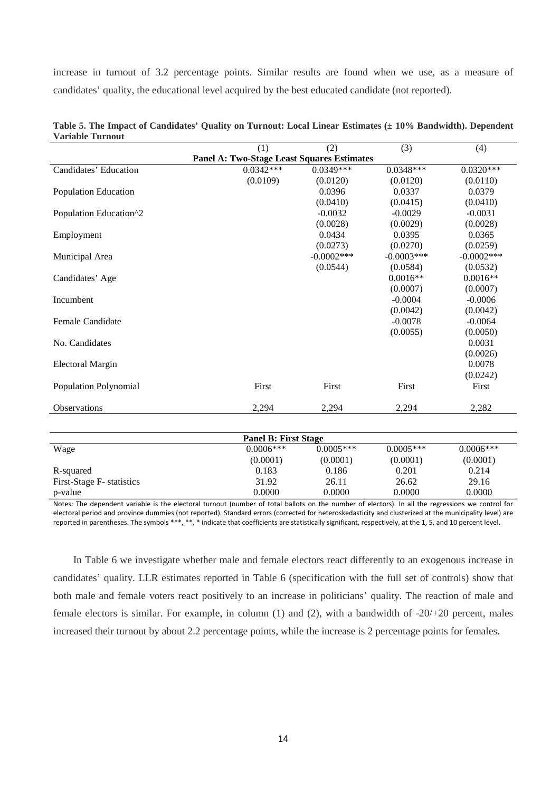increase in turnout of 3.2 percentage points. Similar results are found when we use, as a measure of candidates' quality, the educational level acquired by the best educated candidate (not reported).

|                              | (1)                                               | (2)           | (3)          | (4)           |  |  |  |
|------------------------------|---------------------------------------------------|---------------|--------------|---------------|--|--|--|
|                              | <b>Panel A: Two-Stage Least Squares Estimates</b> |               |              |               |  |  |  |
| Candidates' Education        | $0.0342***$                                       | $0.0349***$   | $0.0348***$  | $0.0320***$   |  |  |  |
|                              | (0.0109)                                          | (0.0120)      | (0.0120)     | (0.0110)      |  |  |  |
| <b>Population Education</b>  |                                                   | 0.0396        | 0.0337       | 0.0379        |  |  |  |
|                              |                                                   | (0.0410)      | (0.0415)     | (0.0410)      |  |  |  |
| Population Education^2       |                                                   | $-0.0032$     | $-0.0029$    | $-0.0031$     |  |  |  |
|                              |                                                   | (0.0028)      | (0.0029)     | (0.0028)      |  |  |  |
| Employment                   |                                                   | 0.0434        | 0.0395       | 0.0365        |  |  |  |
|                              |                                                   | (0.0273)      | (0.0270)     | (0.0259)      |  |  |  |
| Municipal Area               |                                                   | $-0.0002$ *** | $-0.0003***$ | $-0.0002$ *** |  |  |  |
|                              |                                                   | (0.0544)      | (0.0584)     | (0.0532)      |  |  |  |
| Candidates' Age              |                                                   |               | $0.0016**$   | $0.0016**$    |  |  |  |
|                              |                                                   |               | (0.0007)     | (0.0007)      |  |  |  |
| Incumbent                    |                                                   |               | $-0.0004$    | $-0.0006$     |  |  |  |
|                              |                                                   |               | (0.0042)     | (0.0042)      |  |  |  |
| <b>Female Candidate</b>      |                                                   |               | $-0.0078$    | $-0.0064$     |  |  |  |
|                              |                                                   |               | (0.0055)     | (0.0050)      |  |  |  |
| No. Candidates               |                                                   |               |              | 0.0031        |  |  |  |
|                              |                                                   |               |              | (0.0026)      |  |  |  |
| <b>Electoral Margin</b>      |                                                   |               |              | 0.0078        |  |  |  |
|                              |                                                   |               |              | (0.0242)      |  |  |  |
| <b>Population Polynomial</b> | First                                             | First         | First        | First         |  |  |  |
|                              |                                                   |               |              |               |  |  |  |
| Observations                 | 2,294                                             | 2,294         | 2,294        | 2,282         |  |  |  |
|                              |                                                   |               |              |               |  |  |  |
| <b>Panel B: First Stage</b>  |                                                   |               |              |               |  |  |  |
| Wage                         | $0.0006***$                                       | $0.0005***$   | $0.0005***$  | $0.0006***$   |  |  |  |
|                              | (0.0001)                                          | (0.0001)      | (0.0001)     | (0.0001)      |  |  |  |
| R-squared                    | 0.183                                             | 0.186         | 0.201        | 0.214         |  |  |  |
| First-Stage F- statistics    | 31.92                                             | 26.11         | 26.62        | 29.16         |  |  |  |
| p-value                      | 0.0000                                            | 0.0000        | 0.0000       | 0.0000        |  |  |  |

| Table 5. The Impact of Candidates' Quality on Turnout: Local Linear Estimates (± 10% Bandwidth). Dependent |  |  |  |  |
|------------------------------------------------------------------------------------------------------------|--|--|--|--|
| <b>Variable Turnout</b>                                                                                    |  |  |  |  |

Notes: The dependent variable is the electoral turnout (number of total ballots on the number of electors). In all the regressions we control for electoral period and province dummies (not reported). Standard errors (corrected for heteroskedasticity and clusterized at the municipality level) are reported in parentheses. The symbols \*\*\*, \*\*, \* indicate that coefficients are statistically significant, respectively, at the 1, 5, and 10 percent level.

In Table 6 we investigate whether male and female electors react differently to an exogenous increase in candidates' quality. LLR estimates reported in Table 6 (specification with the full set of controls) show that both male and female voters react positively to an increase in politicians' quality. The reaction of male and female electors is similar. For example, in column (1) and (2), with a bandwidth of -20/+20 percent, males increased their turnout by about 2.2 percentage points, while the increase is 2 percentage points for females.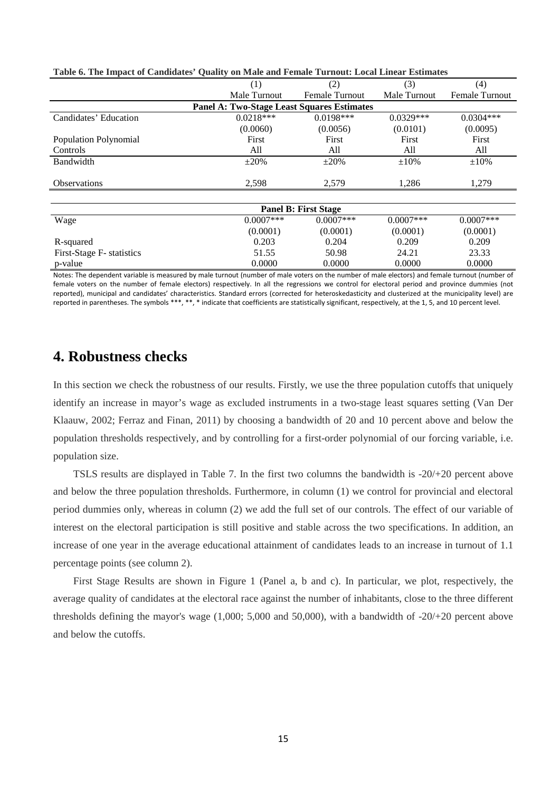| Table 0. The Impact of Candidates "Quanty on mail and I chiale Turnout. Local Linear Estimates |              |                       |              |                       |  |  |  |
|------------------------------------------------------------------------------------------------|--------------|-----------------------|--------------|-----------------------|--|--|--|
|                                                                                                | (1)          | (2)                   | (3)          | (4)                   |  |  |  |
|                                                                                                | Male Turnout | <b>Female Turnout</b> | Male Turnout | <b>Female Turnout</b> |  |  |  |
| <b>Panel A: Two-Stage Least Squares Estimates</b>                                              |              |                       |              |                       |  |  |  |
| Candidates' Education                                                                          | $0.0218***$  | $0.0198***$           | $0.0329***$  | $0.0304***$           |  |  |  |
|                                                                                                | (0.0060)     | (0.0056)              | (0.0101)     | (0.0095)              |  |  |  |
| Population Polynomial                                                                          | First        | First                 | First        | First                 |  |  |  |
| Controls                                                                                       | All          | All                   | All          | All                   |  |  |  |
| Bandwidth                                                                                      | $\pm 20\%$   | $\pm 20\%$            | $\pm 10\%$   | $\pm 10\%$            |  |  |  |
| <b>Observations</b>                                                                            | 2,598        | 2,579                 | 1,286        | 1,279                 |  |  |  |
| <b>Panel B: First Stage</b>                                                                    |              |                       |              |                       |  |  |  |
| Wage                                                                                           | $0.0007$ *** | $0.0007$ ***          | $0.0007***$  | $0.0007$ ***          |  |  |  |
|                                                                                                | (0.0001)     | (0.0001)              | (0.0001)     | (0.0001)              |  |  |  |
| R-squared                                                                                      | 0.203        | 0.204                 | 0.209        | 0.209                 |  |  |  |
| First-Stage F- statistics                                                                      | 51.55        | 50.98                 | 24.21        | 23.33                 |  |  |  |
| p-value                                                                                        | 0.0000       | 0.0000                | 0.0000       | 0.0000                |  |  |  |

Notes: The dependent variable is measured by male turnout (number of male voters on the number of male electors) and female turnout (number of female voters on the number of female electors) respectively. In all the regressions we control for electoral period and province dummies (not reported), municipal and candidates' characteristics. Standard errors (corrected for heteroskedasticity and clusterized at the municipality level) are reported in parentheses. The symbols \*\*\*, \*\*, \* indicate that coefficients are statistically significant, respectively, at the 1, 5, and 10 percent level.

#### **4. Robustness checks**

In this section we check the robustness of our results. Firstly, we use the three population cutoffs that uniquely identify an increase in mayor's wage as excluded instruments in a two-stage least squares setting (Van Der Klaauw, 2002; Ferraz and Finan, 2011) by choosing a bandwidth of 20 and 10 percent above and below the population thresholds respectively, and by controlling for a first-order polynomial of our forcing variable, i.e. population size.

TSLS results are displayed in Table 7. In the first two columns the bandwidth is -20/+20 percent above and below the three population thresholds. Furthermore, in column (1) we control for provincial and electoral period dummies only, whereas in column (2) we add the full set of our controls. The effect of our variable of interest on the electoral participation is still positive and stable across the two specifications. In addition, an increase of one year in the average educational attainment of candidates leads to an increase in turnout of 1.1 percentage points (see column 2).

First Stage Results are shown in Figure 1 (Panel a, b and c). In particular, we plot, respectively, the average quality of candidates at the electoral race against the number of inhabitants, close to the three different thresholds defining the mayor's wage (1,000; 5,000 and 50,000), with a bandwidth of -20/+20 percent above and below the cutoffs.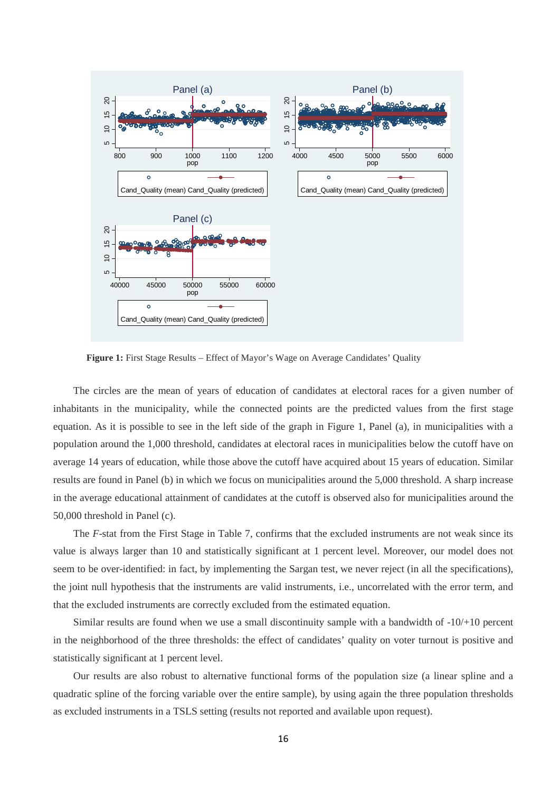

Figure 1: First Stage Results – Effect of Mayor's Wage on Average Candidates' Quality

The circles are the mean of years of education of candidates at electoral races for a given number of inhabitants in the municipality, while the connected points are the predicted values from the first stage equation. As it is possible to see in the left side of the graph in Figure 1, Panel (a), in municipalities with a population around the 1,000 threshold, candidates at electoral races in municipalities below the cutoff have on average 14 years of education, while those above the cutoff have acquired about 15 years of education. Similar results are found in Panel (b) in which we focus on municipalities around the 5,000 threshold. A sharp increase in the average educational attainment of candidates at the cutoff is observed also for municipalities around the 50,000 threshold in Panel (c).

The *F*-stat from the First Stage in Table 7, confirms that the excluded instruments are not weak since its value is always larger than 10 and statistically significant at 1 percent level. Moreover, our model does not seem to be over-identified: in fact, by implementing the Sargan test, we never reject (in all the specifications), the joint null hypothesis that the instruments are valid instruments, i.e., uncorrelated with the error term, and that the excluded instruments are correctly excluded from the estimated equation.

Similar results are found when we use a small discontinuity sample with a bandwidth of -10/+10 percent in the neighborhood of the three thresholds: the effect of candidates' quality on voter turnout is positive and statistically significant at 1 percent level.

Our results are also robust to alternative functional forms of the population size (a linear spline and a quadratic spline of the forcing variable over the entire sample), by using again the three population thresholds as excluded instruments in a TSLS setting (results not reported and available upon request).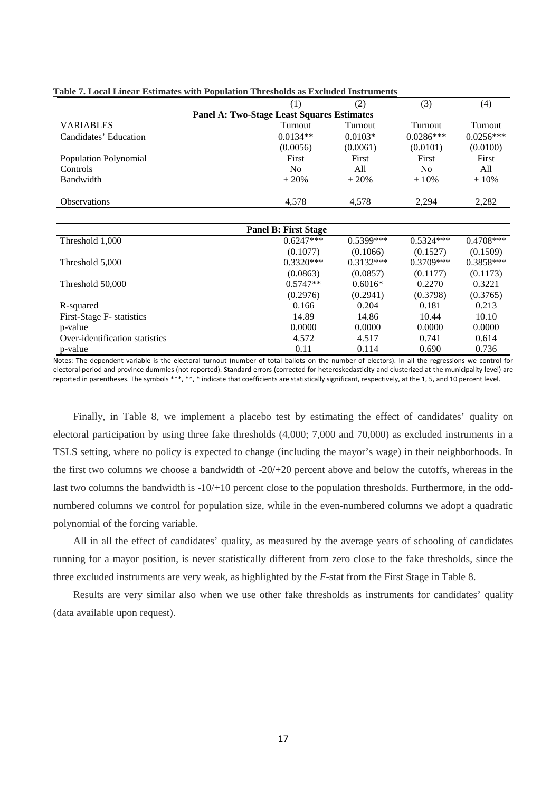|                                | (1)                                               | (2)         | (3)            | (4)         |
|--------------------------------|---------------------------------------------------|-------------|----------------|-------------|
|                                | <b>Panel A: Two-Stage Least Squares Estimates</b> |             |                |             |
| <b>VARIABLES</b>               | Turnout                                           | Turnout     | Turnout        | Turnout     |
| Candidates' Education          | $0.0134**$                                        | $0.0103*$   | $0.0286***$    | $0.0256***$ |
|                                | (0.0056)                                          | (0.0061)    | (0.0101)       | (0.0100)    |
| Population Polynomial          | First                                             | First       | First          | First       |
| Controls                       | N <sub>0</sub>                                    | All         | N <sub>0</sub> | All         |
| Bandwidth                      | ± 20%                                             | $\pm 20\%$  | $\pm 10\%$     | ±10%        |
| <b>Observations</b>            | 4,578                                             | 4,578       | 2,294          | 2,282       |
|                                |                                                   |             |                |             |
|                                | <b>Panel B: First Stage</b>                       |             |                |             |
| Threshold 1,000                | $0.6247***$                                       | $0.5399***$ | $0.5324***$    | $0.4708***$ |
|                                | (0.1077)                                          | (0.1066)    | (0.1527)       | (0.1509)    |
| Threshold 5,000                | $0.3320***$                                       | $0.3132***$ | $0.3709***$    | $0.3858***$ |
|                                | (0.0863)                                          | (0.0857)    | (0.1177)       | (0.1173)    |
| Threshold 50,000               | $0.5747**$                                        | $0.6016*$   | 0.2270         | 0.3221      |
|                                | (0.2976)                                          | (0.2941)    | (0.3798)       | (0.3765)    |
| R-squared                      | 0.166                                             | 0.204       | 0.181          | 0.213       |
| First-Stage F- statistics      | 14.89                                             | 14.86       | 10.44          | 10.10       |
| p-value                        | 0.0000                                            | 0.0000      | 0.0000         | 0.0000      |
| Over-identification statistics | 4.572                                             | 4.517       | 0.741          | 0.614       |
| p-value                        | 0.11                                              | 0.114       | 0.690          | 0.736       |

#### **Table 7. Local Linear Estimates with Population Thresholds as Excluded Instruments**

Notes: The dependent variable is the electoral turnout (number of total ballots on the number of electors). In all the regressions we control for electoral period and province dummies (not reported). Standard errors (corrected for heteroskedasticity and clusterized at the municipality level) are reported in parentheses. The symbols \*\*\*, \*\*, \* indicate that coefficients are statistically significant, respectively, at the 1, 5, and 10 percent level.

Finally, in Table 8, we implement a placebo test by estimating the effect of candidates' quality on electoral participation by using three fake thresholds (4,000; 7,000 and 70,000) as excluded instruments in a TSLS setting, where no policy is expected to change (including the mayor's wage) in their neighborhoods. In the first two columns we choose a bandwidth of -20/+20 percent above and below the cutoffs, whereas in the last two columns the bandwidth is  $-10/+10$  percent close to the population thresholds. Furthermore, in the oddnumbered columns we control for population size, while in the even-numbered columns we adopt a quadratic polynomial of the forcing variable.

All in all the effect of candidates' quality, as measured by the average years of schooling of candidates running for a mayor position, is never statistically different from zero close to the fake thresholds, since the three excluded instruments are very weak, as highlighted by the *F*-stat from the First Stage in Table 8.

Results are very similar also when we use other fake thresholds as instruments for candidates' quality (data available upon request).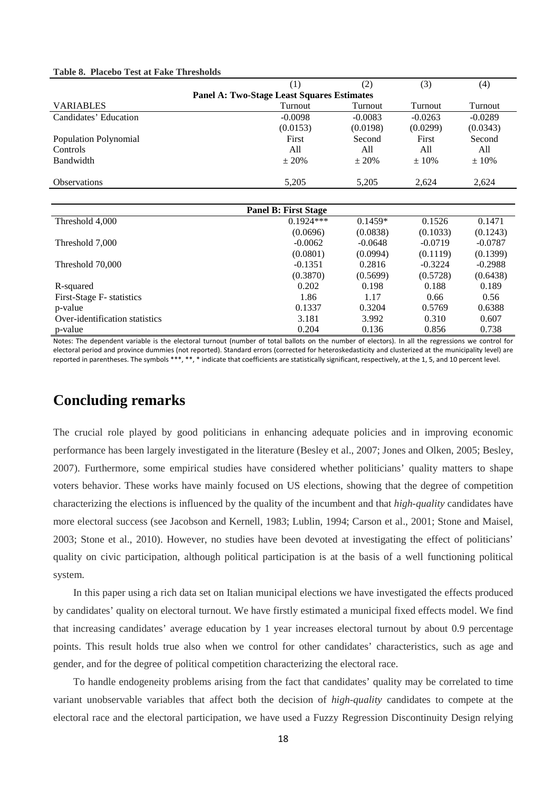| Table 8. Placebo Test at Fake Thresholds |  |  |
|------------------------------------------|--|--|
|------------------------------------------|--|--|

|                                | (1)                                               | (2)       | (3)       | (4)       |  |  |
|--------------------------------|---------------------------------------------------|-----------|-----------|-----------|--|--|
|                                | <b>Panel A: Two-Stage Least Squares Estimates</b> |           |           |           |  |  |
| <b>VARIABLES</b>               | Turnout                                           | Turnout   | Turnout   | Turnout   |  |  |
| Candidates' Education          | $-0.0098$                                         | $-0.0083$ | $-0.0263$ | $-0.0289$ |  |  |
|                                | (0.0153)                                          | (0.0198)  | (0.0299)  | (0.0343)  |  |  |
| Population Polynomial          | First                                             | Second    | First     | Second    |  |  |
| Controls                       | All                                               | All       | All       | All       |  |  |
| Bandwidth                      | ± 20%                                             | ± 20%     | $±10\%$   | ± 10%     |  |  |
| <b>Observations</b>            | 5,205                                             | 5,205     | 2,624     | 2,624     |  |  |
|                                |                                                   |           |           |           |  |  |
|                                | <b>Panel B: First Stage</b>                       |           |           |           |  |  |
| Threshold 4,000                | $0.1924***$                                       | $0.1459*$ | 0.1526    | 0.1471    |  |  |
|                                | (0.0696)                                          | (0.0838)  | (0.1033)  | (0.1243)  |  |  |
| Threshold 7,000                | $-0.0062$                                         | $-0.0648$ | $-0.0719$ | $-0.0787$ |  |  |
|                                | (0.0801)                                          | (0.0994)  | (0.1119)  | (0.1399)  |  |  |
| Threshold 70,000               | $-0.1351$                                         | 0.2816    | $-0.3224$ | $-0.2988$ |  |  |
|                                | (0.3870)                                          | (0.5699)  | (0.5728)  | (0.6438)  |  |  |
| R-squared                      | 0.202                                             | 0.198     | 0.188     | 0.189     |  |  |
| First-Stage F- statistics      | 1.86                                              | 1.17      | 0.66      | 0.56      |  |  |
| p-value                        | 0.1337                                            | 0.3204    | 0.5769    | 0.6388    |  |  |
| Over-identification statistics | 3.181                                             | 3.992     | 0.310     | 0.607     |  |  |
| p-value                        | 0.204                                             | 0.136     | 0.856     | 0.738     |  |  |

Notes: The dependent variable is the electoral turnout (number of total ballots on the number of electors). In all the regressions we control for electoral period and province dummies (not reported). Standard errors (corrected for heteroskedasticity and clusterized at the municipality level) are reported in parentheses. The symbols \*\*\*, \*\*, \* indicate that coefficients are statistically significant, respectively, at the 1, 5, and 10 percent level.

#### **Concluding remarks**

The crucial role played by good politicians in enhancing adequate policies and in improving economic performance has been largely investigated in the literature (Besley et al., 2007; Jones and Olken, 2005; Besley, 2007). Furthermore, some empirical studies have considered whether politicians' quality matters to shape voters behavior. These works have mainly focused on US elections, showing that the degree of competition characterizing the elections is influenced by the quality of the incumbent and that *high-quality* candidates have more electoral success (see Jacobson and Kernell, 1983; Lublin, 1994; Carson et al., 2001; Stone and Maisel, 2003; Stone et al., 2010). However, no studies have been devoted at investigating the effect of politicians' quality on civic participation, although political participation is at the basis of a well functioning political system.

In this paper using a rich data set on Italian municipal elections we have investigated the effects produced by candidates' quality on electoral turnout. We have firstly estimated a municipal fixed effects model. We find that increasing candidates' average education by 1 year increases electoral turnout by about 0.9 percentage points. This result holds true also when we control for other candidates' characteristics, such as age and gender, and for the degree of political competition characterizing the electoral race.

To handle endogeneity problems arising from the fact that candidates' quality may be correlated to time variant unobservable variables that affect both the decision of *high-quality* candidates to compete at the electoral race and the electoral participation, we have used a Fuzzy Regression Discontinuity Design relying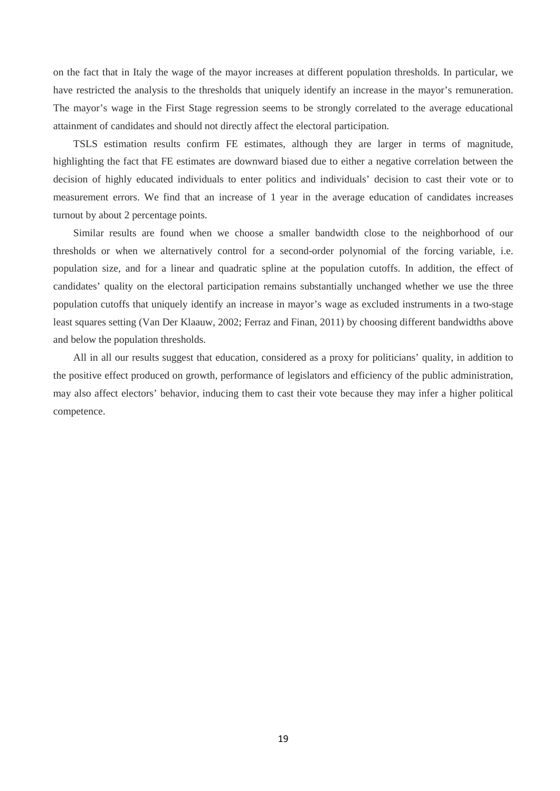on the fact that in Italy the wage of the mayor increases at different population thresholds. In particular, we have restricted the analysis to the thresholds that uniquely identify an increase in the mayor's remuneration. The mayor's wage in the First Stage regression seems to be strongly correlated to the average educational attainment of candidates and should not directly affect the electoral participation.

TSLS estimation results confirm FE estimates, although they are larger in terms of magnitude, highlighting the fact that FE estimates are downward biased due to either a negative correlation between the decision of highly educated individuals to enter politics and individuals' decision to cast their vote or to measurement errors. We find that an increase of 1 year in the average education of candidates increases turnout by about 2 percentage points.

Similar results are found when we choose a smaller bandwidth close to the neighborhood of our thresholds or when we alternatively control for a second-order polynomial of the forcing variable, i.e. population size, and for a linear and quadratic spline at the population cutoffs. In addition, the effect of candidates' quality on the electoral participation remains substantially unchanged whether we use the three population cutoffs that uniquely identify an increase in mayor's wage as excluded instruments in a two-stage least squares setting (Van Der Klaauw, 2002; Ferraz and Finan, 2011) by choosing different bandwidths above and below the population thresholds.

All in all our results suggest that education, considered as a proxy for politicians' quality, in addition to the positive effect produced on growth, performance of legislators and efficiency of the public administration, may also affect electors' behavior, inducing them to cast their vote because they may infer a higher political competence.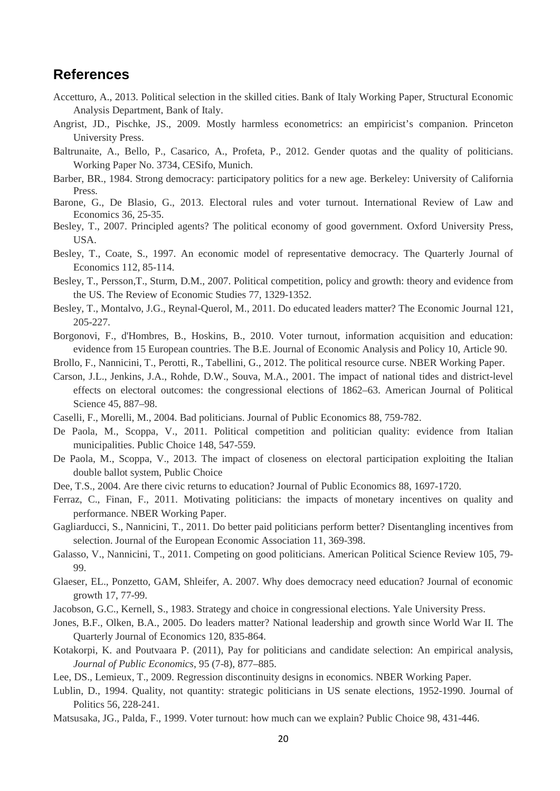#### **References**

- Accetturo, A., 2013. Political selection in the skilled cities. Bank of Italy Working Paper, Structural Economic Analysis Department, Bank of Italy.
- Angrist, JD., Pischke, JS., 2009. Mostly harmless econometrics: an empiricist's companion. Princeton University Press.
- Baltrunaite, A., Bello, P., Casarico, A., Profeta, P., 2012. Gender quotas and the quality of politicians. Working Paper No. 3734, CESifo, Munich.
- Barber, BR., 1984. Strong democracy: participatory politics for a new age. Berkeley: University of California Press.
- Barone, G., De Blasio, G., 2013. Electoral rules and voter turnout. International Review of Law and Economics 36, 25-35.
- Besley, T., 2007. Principled agents? The political economy of good government. Oxford University Press, USA.
- Besley, T., Coate, S., 1997. [An economic model of representative democracy.](http://qje.oxfordjournals.org/content/112/1/85.short) The Quarterly Journal of Economics 112, 85-114.
- Besley, T., Persson,T., Sturm, D.M., 2007. Political competition, policy and growth: theory and evidence from the US. The Review of Economic Studies 77, 1329-1352.
- Besley, T., Montalvo, J.G., Reynal-Querol, M., 2011. Do educated leaders matter? The Economic Journal 121, 205-227.
- Borgonovi, F., d'Hombres, [B., Hoskins,](http://scholar.google.it/citations?user=xl6JJAsAAAAJ&hl=it&oi=sra) B., 2010. [Voter turnout, information acquisition and education:](http://www.degruyter.com/view/j/bejeap.2010.10.1/bejeap.2010.10.1.2463/bejeap.2010.10.1.2463.xml)  [evidence from 15 European countries.](http://www.degruyter.com/view/j/bejeap.2010.10.1/bejeap.2010.10.1.2463/bejeap.2010.10.1.2463.xml) The B.E. Journal of Economic Analysis and Policy 10, Article 90.
- Brollo, F., Nannicini, T., Perotti, R., Tabellini, G., 2012. The political resource curse. NBER Working Paper.
- Carson, J.L., Jenkins, J.A., Rohde, D.W., Souva, M.A., 2001. The impact of national tides and district-level effects on electoral outcomes: the congressional elections of 1862–63. American Journal of Political Science 45, 887–98.
- Caselli, F., Morelli, M., 2004. Bad politicians. Journal of Public Economics 88, 759-782.
- De Paola, M., Scoppa, V., 2011. Political competition and politician quality: evidence from Italian municipalities. Public Choice 148, 547-559.
- De Paola, M., Scoppa, V., 2013. [The impact of closeness on electoral participation exploiting the Italian](http://link.springer.com/article/10.1007/s11127-013-0105-7)  [double ballot system,](http://link.springer.com/article/10.1007/s11127-013-0105-7) Public Choice
- Dee, T.S., 2004. Are there civic returns to education? Journal of Public Economics 88, 1697-1720.
- Ferraz, C., Finan, F., 2011. Motivating politicians: the impacts of monetary incentives on quality and performance. NBER Working Paper.
- Gagliarducci, S., Nannicini, T., 2011. Do better paid politicians perform better? Disentangling incentives from selection. Journal of the European Economic Association 11, 369-398.
- Galasso, V., Nannicini, T., 2011. Competing on good politicians. American Political Science Review 105, 79- 99.
- Glaeser, EL., [Ponzetto,](http://scholar.google.it/citations?user=lov1MJcAAAAJ&hl=it&oi=sra) GAM, Shleifer, A. 2007. Why does democracy need education? Journal of economic growth 17, 77-99.
- Jacobson, G.C., Kernell, S., 1983. Strategy and choice in congressional elections. Yale University Press.
- Jones, B.F., Olken, B.A., 2005. [Do leaders matter? National leadership and growth since World War II.](http://qje.oxfordjournals.org/content/120/3/835.short) The Quarterly Journal of Economics 120, 835-864.
- Kotakorpi, K. and Poutvaara P. (2011), Pay for politicians and candidate selection: An empirical analysis, *[Journal of Public Economics](http://www.sciencedirect.com/science/journal/00472727)*, 95 (7-8), 877–885.
- Lee, DS., Lemieux, T., 2009. Regression discontinuity designs in economics. NBER Working Paper.
- Lublin, D., 1994. [Quality, not quantity: strategic politicians in US senate elections, 1952-1990.](http://scholar.google.com/citations?view_op=view_citation&hl=en&user=-ozRHeMAAAAJ&citation_for_view=-ozRHeMAAAAJ:qjMakFHDy7sC) Journal of Politics 56, 228-241.
- Matsusaka, JG., Palda, F., 1999. Voter turnout: how much can we explain? Public Choice 98, 431-446.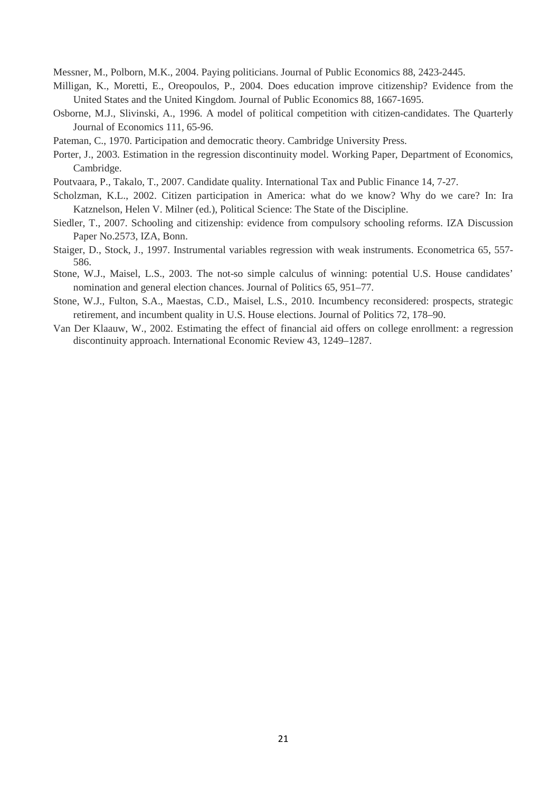Messner, M., Polborn, M.K., 2004. Paying politicians. Journal of Public Economics 88, 2423-2445.

- Milligan, K., Moretti, E., Oreopoulos, P., 2004. [Does education improve citizenship? Evidence from the](http://www.sciencedirect.com/science/article/pii/S0047272703002056)  [United States and the United Kingdom.](http://www.sciencedirect.com/science/article/pii/S0047272703002056) Journal of Public Economics 88, 1667-1695.
- Osborne, M.J., Slivinski, A., 1996. A model of political competition with citizen-candidates. The Quarterly Journal of Economics 111, 65-96.
- Pateman, C., 1970. Participation and democratic theory. Cambridge University Press.
- Porter, J., 2003. Estimation in the regression discontinuity model. Working Paper, Department of Economics, Cambridge.
- Poutvaara, P., Takalo, T., 2007. Candidate quality. International Tax and Public Finance 14, 7-27.
- Scholzman, K.L., 2002. Citizen participation in America: what do we know? Why do we care? In: [Ira](http://www.citeulike.org/group/108/author/Katznelson:I)  [Katznelson,](http://www.citeulike.org/group/108/author/Katznelson:I) [Helen V. Milner](http://www.citeulike.org/group/108/author/Milner:HV) (ed.), Political Science: The State of the Discipline.
- Siedler, T., 2007. Schooling and citizenship: evidence from compulsory schooling reforms. IZA Discussion Paper No.2573, IZA, Bonn.
- Staiger, D., Stock, J., 1997. Instrumental variables regression with weak instruments. Econometrica 65, 557- 586.
- Stone, W.J., Maisel, L.S., 2003. The not-so simple calculus of winning: potential U.S. House candidates' nomination and general election chances. Journal of Politics 65, 951–77.
- Stone, W.J., Fulton, S.A., Maestas, C.D., Maisel, L.S., 2010. Incumbency reconsidered: prospects, strategic retirement, and incumbent quality in U.S. House elections. Journal of Politics 72, 178–90.
- Van Der Klaauw, W., 2002. Estimating the effect of financial aid offers on college enrollment: a regression discontinuity approach. International Economic Review 43, 1249–1287.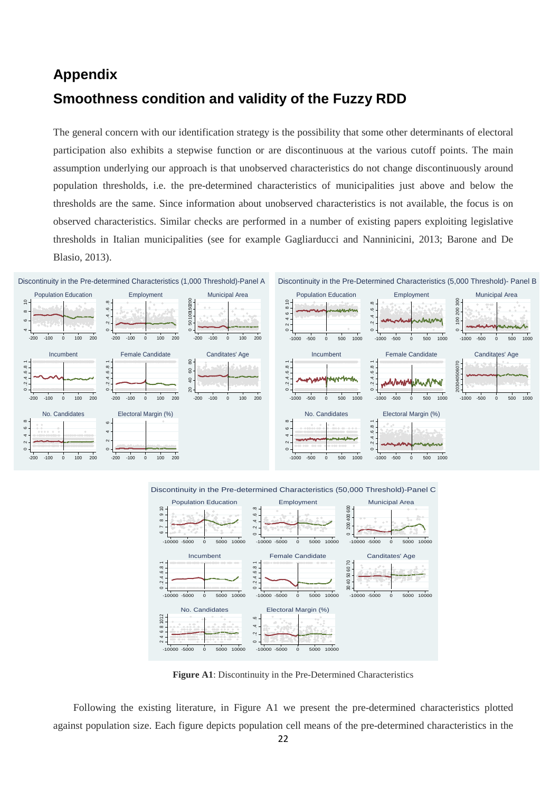# **Appendix Smoothness condition and validity of the Fuzzy RDD**

The general concern with our identification strategy is the possibility that some other determinants of electoral participation also exhibits a stepwise function or are discontinuous at the various cutoff points. The main assumption underlying our approach is that unobserved characteristics do not change discontinuously around population thresholds, i.e. the pre-determined characteristics of municipalities just above and below the thresholds are the same. Since information about unobserved characteristics is not available, the focus is on observed characteristics. Similar checks are performed in a number of existing papers exploiting legislative thresholds in Italian municipalities (see for example Gagliarducci and Nanninicini, 2013; Barone and De Blasio, 2013).





Discontinuity in the Pre-determined Characteristics (50,000 Threshold)-Panel C

**Figure A1**: Discontinuity in the Pre-Determined Characteristics

Following the existing literature, in Figure A1 we present the pre-determined characteristics plotted against population size. Each figure depicts population cell means of the pre-determined characteristics in the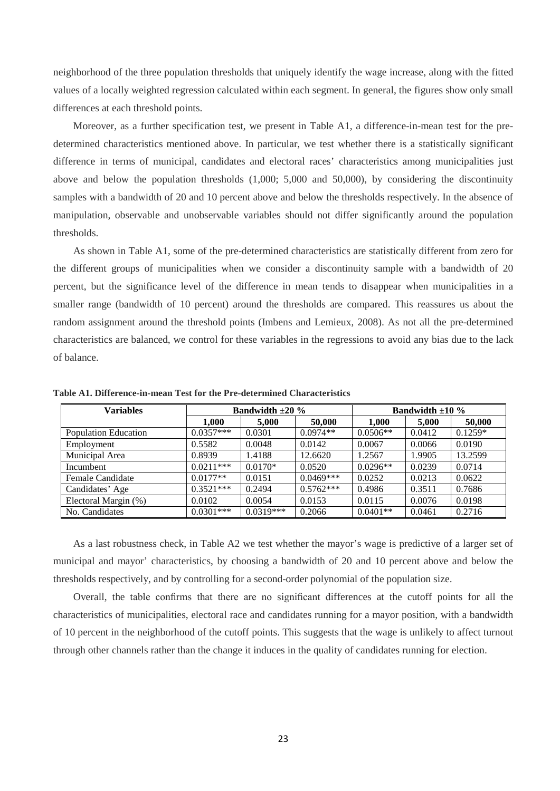neighborhood of the three population thresholds that uniquely identify the wage increase, along with the fitted values of a locally weighted regression calculated within each segment. In general, the figures show only small differences at each threshold points.

Moreover, as a further specification test, we present in Table A1, a difference-in-mean test for the predetermined characteristics mentioned above. In particular, we test whether there is a statistically significant difference in terms of municipal, candidates and electoral races' characteristics among municipalities just above and below the population thresholds (1,000; 5,000 and 50,000), by considering the discontinuity samples with a bandwidth of 20 and 10 percent above and below the thresholds respectively. In the absence of manipulation, observable and unobservable variables should not differ significantly around the population thresholds.

As shown in Table A1, some of the pre-determined characteristics are statistically different from zero for the different groups of municipalities when we consider a discontinuity sample with a bandwidth of 20 percent, but the significance level of the difference in mean tends to disappear when municipalities in a smaller range (bandwidth of 10 percent) around the thresholds are compared. This reassures us about the random assignment around the threshold points (Imbens and Lemieux, 2008). As not all the pre-determined characteristics are balanced, we control for these variables in the regressions to avoid any bias due to the lack of balance.

| <b>Variables</b>     | Bandwidth $\pm 20\%$ |             |             | Bandwidth $\pm 10\%$ |        |           |
|----------------------|----------------------|-------------|-------------|----------------------|--------|-----------|
|                      | 1,000                | 5,000       | 50,000      | 1,000                | 5,000  | 50,000    |
| Population Education | $0.0357***$          | 0.0301      | $0.0974**$  | $0.0506**$           | 0.0412 | $0.1259*$ |
| Employment           | 0.5582               | 0.0048      | 0.0142      | 0.0067               | 0.0066 | 0.0190    |
| Municipal Area       | 0.8939               | 1.4188      | 12.6620     | 1.2567               | 1.9905 | 13.2599   |
| Incumbent            | $0.0211***$          | $0.0170*$   | 0.0520      | $0.0296**$           | 0.0239 | 0.0714    |
| Female Candidate     | $0.0177**$           | 0.0151      | $0.0469***$ | 0.0252               | 0.0213 | 0.0622    |
| Candidates' Age      | $0.3521***$          | 0.2494      | $0.5762***$ | 0.4986               | 0.3511 | 0.7686    |
| Electoral Margin (%) | 0.0102               | 0.0054      | 0.0153      | 0.0115               | 0.0076 | 0.0198    |
| No. Candidates       | $0.0301***$          | $0.0319***$ | 0.2066      | $0.0401**$           | 0.0461 | 0.2716    |

**Table A1. Difference-in-mean Test for the Pre-determined Characteristics**

As a last robustness check, in Table A2 we test whether the mayor's wage is predictive of a larger set of municipal and mayor' characteristics, by choosing a bandwidth of 20 and 10 percent above and below the thresholds respectively, and by controlling for a second-order polynomial of the population size.

Overall, the table confirms that there are no significant differences at the cutoff points for all the characteristics of municipalities, electoral race and candidates running for a mayor position, with a bandwidth of 10 percent in the neighborhood of the cutoff points. This suggests that the wage is unlikely to affect turnout through other channels rather than the change it induces in the quality of candidates running for election.